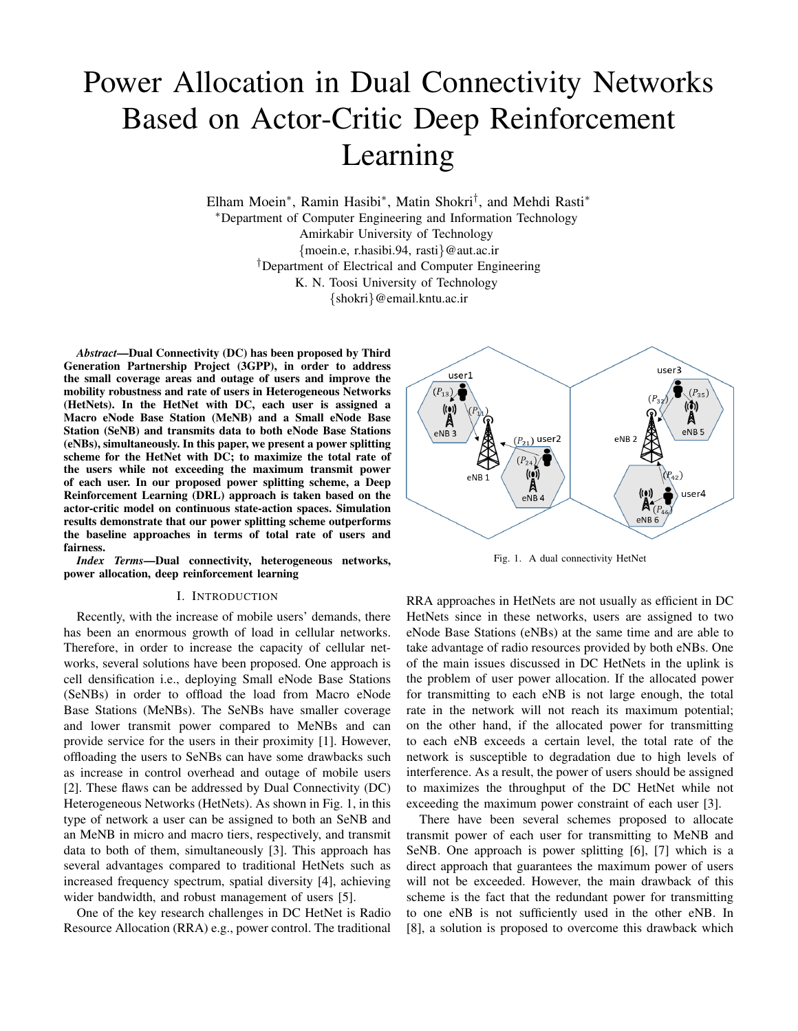# Power Allocation in Dual Connectivity Networks Based on Actor-Critic Deep Reinforcement Learning

Elham Moein<sup>∗</sup> , Ramin Hasibi<sup>∗</sup> , Matin Shokri† , and Mehdi Rasti<sup>∗</sup> <sup>∗</sup>Department of Computer Engineering and Information Technology Amirkabir University of Technology {moein.e, r.hasibi.94, rasti}@aut.ac.ir †Department of Electrical and Computer Engineering K. N. Toosi University of Technology {shokri}@email.kntu.ac.ir

*Abstract*—Dual Connectivity (DC) has been proposed by Third Generation Partnership Project (3GPP), in order to address the small coverage areas and outage of users and improve the mobility robustness and rate of users in Heterogeneous Networks (HetNets). In the HetNet with DC, each user is assigned a Macro eNode Base Station (MeNB) and a Small eNode Base Station (SeNB) and transmits data to both eNode Base Stations (eNBs), simultaneously. In this paper, we present a power splitting scheme for the HetNet with DC; to maximize the total rate of the users while not exceeding the maximum transmit power of each user. In our proposed power splitting scheme, a Deep Reinforcement Learning (DRL) approach is taken based on the actor-critic model on continuous state-action spaces. Simulation results demonstrate that our power splitting scheme outperforms the baseline approaches in terms of total rate of users and fairness.

*Index Terms*—Dual connectivity, heterogeneous networks, power allocation, deep reinforcement learning

#### I. INTRODUCTION

Recently, with the increase of mobile users' demands, there has been an enormous growth of load in cellular networks. Therefore, in order to increase the capacity of cellular networks, several solutions have been proposed. One approach is cell densification i.e., deploying Small eNode Base Stations (SeNBs) in order to offload the load from Macro eNode Base Stations (MeNBs). The SeNBs have smaller coverage and lower transmit power compared to MeNBs and can provide service for the users in their proximity [1]. However, offloading the users to SeNBs can have some drawbacks such as increase in control overhead and outage of mobile users [2]. These flaws can be addressed by Dual Connectivity (DC) Heterogeneous Networks (HetNets). As shown in Fig. 1, in this type of network a user can be assigned to both an SeNB and an MeNB in micro and macro tiers, respectively, and transmit data to both of them, simultaneously [3]. This approach has several advantages compared to traditional HetNets such as increased frequency spectrum, spatial diversity [4], achieving wider bandwidth, and robust management of users [5].

One of the key research challenges in DC HetNet is Radio Resource Allocation (RRA) e.g., power control. The traditional



Fig. 1. A dual connectivity HetNet

RRA approaches in HetNets are not usually as efficient in DC HetNets since in these networks, users are assigned to two eNode Base Stations (eNBs) at the same time and are able to take advantage of radio resources provided by both eNBs. One of the main issues discussed in DC HetNets in the uplink is the problem of user power allocation. If the allocated power for transmitting to each eNB is not large enough, the total rate in the network will not reach its maximum potential; on the other hand, if the allocated power for transmitting to each eNB exceeds a certain level, the total rate of the network is susceptible to degradation due to high levels of interference. As a result, the power of users should be assigned to maximizes the throughput of the DC HetNet while not exceeding the maximum power constraint of each user [3].

There have been several schemes proposed to allocate transmit power of each user for transmitting to MeNB and SeNB. One approach is power splitting [6], [7] which is a direct approach that guarantees the maximum power of users will not be exceeded. However, the main drawback of this scheme is the fact that the redundant power for transmitting to one eNB is not sufficiently used in the other eNB. In [8], a solution is proposed to overcome this drawback which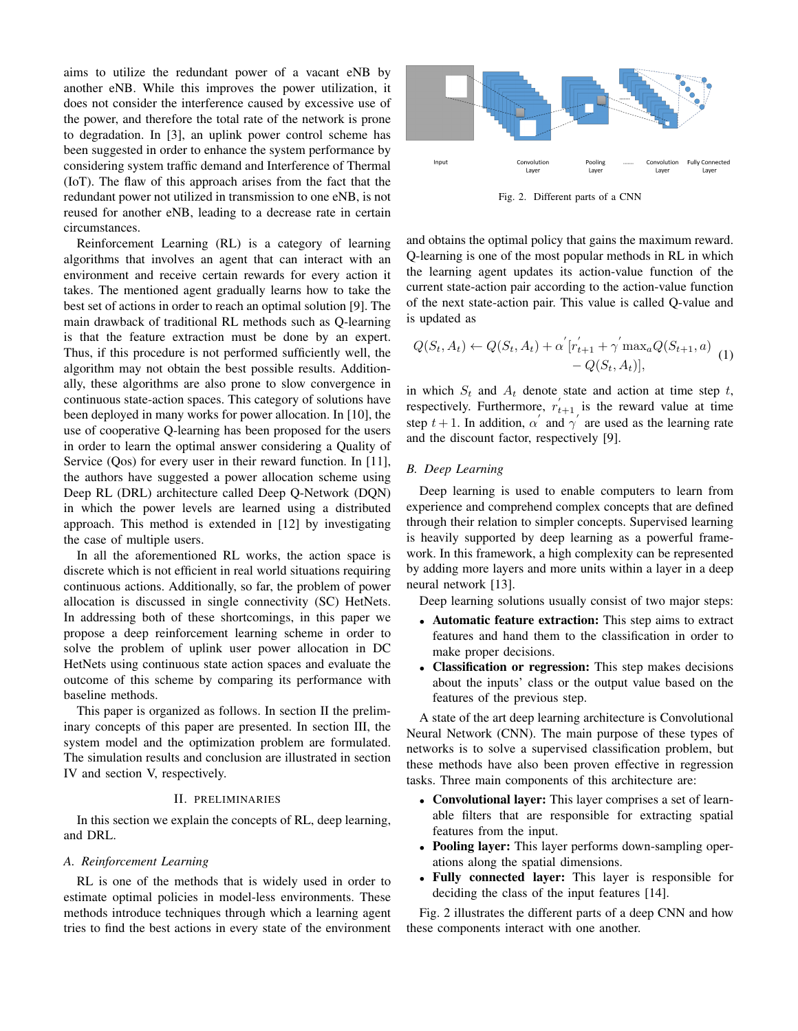aims to utilize the redundant power of a vacant eNB by another eNB. While this improves the power utilization, it does not consider the interference caused by excessive use of the power, and therefore the total rate of the network is prone to degradation. In [3], an uplink power control scheme has been suggested in order to enhance the system performance by considering system traffic demand and Interference of Thermal (IoT). The flaw of this approach arises from the fact that the redundant power not utilized in transmission to one eNB, is not reused for another eNB, leading to a decrease rate in certain circumstances.

Reinforcement Learning (RL) is a category of learning algorithms that involves an agent that can interact with an environment and receive certain rewards for every action it takes. The mentioned agent gradually learns how to take the best set of actions in order to reach an optimal solution [9]. The main drawback of traditional RL methods such as Q-learning is that the feature extraction must be done by an expert. Thus, if this procedure is not performed sufficiently well, the algorithm may not obtain the best possible results. Additionally, these algorithms are also prone to slow convergence in continuous state-action spaces. This category of solutions have been deployed in many works for power allocation. In [10], the use of cooperative Q-learning has been proposed for the users in order to learn the optimal answer considering a Quality of Service (Qos) for every user in their reward function. In [11], the authors have suggested a power allocation scheme using Deep RL (DRL) architecture called Deep Q-Network (DQN) in which the power levels are learned using a distributed approach. This method is extended in [12] by investigating the case of multiple users.

In all the aforementioned RL works, the action space is discrete which is not efficient in real world situations requiring continuous actions. Additionally, so far, the problem of power allocation is discussed in single connectivity (SC) HetNets. In addressing both of these shortcomings, in this paper we propose a deep reinforcement learning scheme in order to solve the problem of uplink user power allocation in DC HetNets using continuous state action spaces and evaluate the outcome of this scheme by comparing its performance with baseline methods.

This paper is organized as follows. In section II the preliminary concepts of this paper are presented. In section III, the system model and the optimization problem are formulated. The simulation results and conclusion are illustrated in section IV and section V, respectively.

#### II. PRELIMINARIES

In this section we explain the concepts of RL, deep learning, and DRL.

#### *A. Reinforcement Learning*

RL is one of the methods that is widely used in order to estimate optimal policies in model-less environments. These methods introduce techniques through which a learning agent tries to find the best actions in every state of the environment



Fig. 2. Different parts of a CNN

and obtains the optimal policy that gains the maximum reward. Q-learning is one of the most popular methods in RL in which the learning agent updates its action-value function of the current state-action pair according to the action-value function of the next state-action pair. This value is called Q-value and is updated as

$$
Q(S_t, A_t) \leftarrow Q(S_t, A_t) + \alpha' [r'_{t+1} + \gamma' \max_a Q(S_{t+1}, a) - Q(S_t, A_t)],
$$
\n
$$
-Q(S_t, A_t)],
$$

in which  $S_t$  and  $A_t$  denote state and action at time step t, respectively. Furthermore,  $r'_{t+1}$  is the reward value at time step  $t + 1$ . In addition,  $\alpha'$  and  $\gamma'$  are used as the learning rate and the discount factor, respectively [9].

#### *B. Deep Learning*

Deep learning is used to enable computers to learn from experience and comprehend complex concepts that are defined through their relation to simpler concepts. Supervised learning is heavily supported by deep learning as a powerful framework. In this framework, a high complexity can be represented by adding more layers and more units within a layer in a deep neural network [13].

Deep learning solutions usually consist of two major steps:

- Automatic feature extraction: This step aims to extract features and hand them to the classification in order to make proper decisions.
- Classification or regression: This step makes decisions about the inputs' class or the output value based on the features of the previous step.

A state of the art deep learning architecture is Convolutional Neural Network (CNN). The main purpose of these types of networks is to solve a supervised classification problem, but these methods have also been proven effective in regression tasks. Three main components of this architecture are:

- Convolutional layer: This layer comprises a set of learnable filters that are responsible for extracting spatial features from the input.
- Pooling layer: This layer performs down-sampling operations along the spatial dimensions.
- Fully connected layer: This layer is responsible for deciding the class of the input features [14].

Fig. 2 illustrates the different parts of a deep CNN and how these components interact with one another.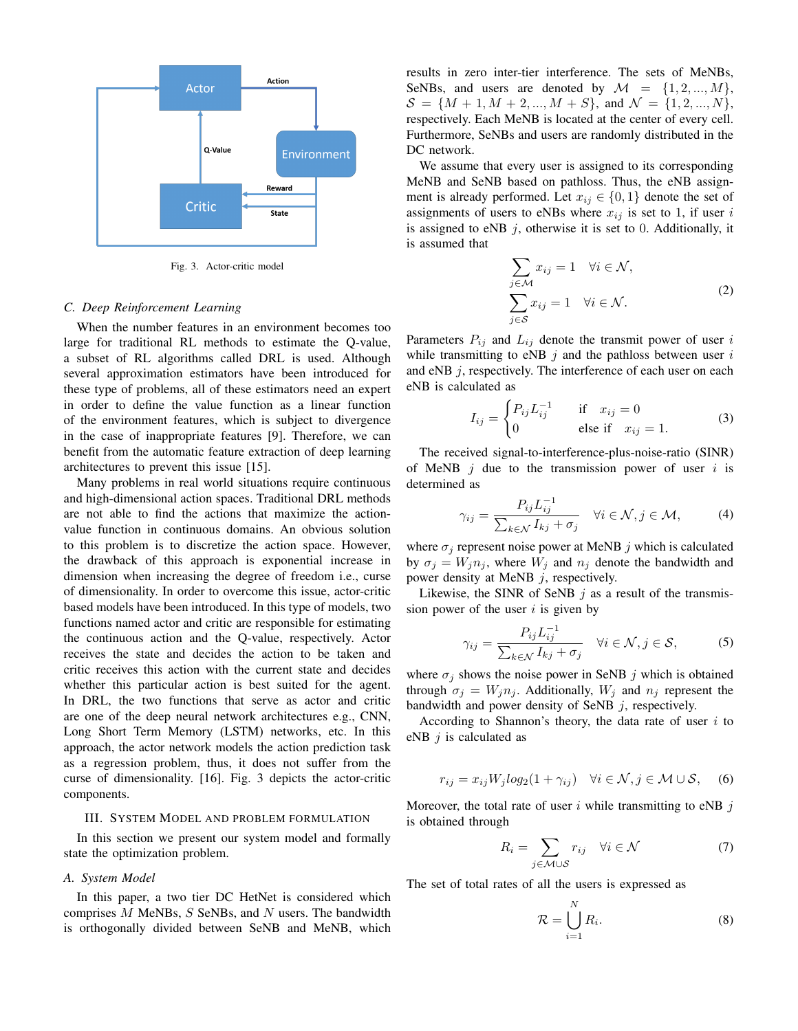

Fig. 3. Actor-critic model

#### *C. Deep Reinforcement Learning*

When the number features in an environment becomes too large for traditional RL methods to estimate the Q-value, a subset of RL algorithms called DRL is used. Although several approximation estimators have been introduced for these type of problems, all of these estimators need an expert in order to define the value function as a linear function of the environment features, which is subject to divergence in the case of inappropriate features [9]. Therefore, we can benefit from the automatic feature extraction of deep learning architectures to prevent this issue [15].

Many problems in real world situations require continuous and high-dimensional action spaces. Traditional DRL methods are not able to find the actions that maximize the actionvalue function in continuous domains. An obvious solution to this problem is to discretize the action space. However, the drawback of this approach is exponential increase in dimension when increasing the degree of freedom i.e., curse of dimensionality. In order to overcome this issue, actor-critic based models have been introduced. In this type of models, two functions named actor and critic are responsible for estimating the continuous action and the Q-value, respectively. Actor receives the state and decides the action to be taken and critic receives this action with the current state and decides whether this particular action is best suited for the agent. In DRL, the two functions that serve as actor and critic are one of the deep neural network architectures e.g., CNN, Long Short Term Memory (LSTM) networks, etc. In this approach, the actor network models the action prediction task as a regression problem, thus, it does not suffer from the curse of dimensionality. [16]. Fig. 3 depicts the actor-critic components.

#### III. SYSTEM MODEL AND PROBLEM FORMULATION

In this section we present our system model and formally state the optimization problem.

#### *A. System Model*

In this paper, a two tier DC HetNet is considered which comprises  $M$  MeNBs,  $S$  SeNBs, and  $N$  users. The bandwidth is orthogonally divided between SeNB and MeNB, which results in zero inter-tier interference. The sets of MeNBs, SeNBs, and users are denoted by  $\mathcal{M} = \{1, 2, ..., M\},\$  $S = \{M+1, M+2, ..., M+S\},\$  and  $\mathcal{N} = \{1, 2, ..., N\},\$ respectively. Each MeNB is located at the center of every cell. Furthermore, SeNBs and users are randomly distributed in the DC network.

We assume that every user is assigned to its corresponding MeNB and SeNB based on pathloss. Thus, the eNB assignment is already performed. Let  $x_{ij} \in \{0, 1\}$  denote the set of assignments of users to eNBs where  $x_{ij}$  is set to 1, if user i is assigned to eNB  $j$ , otherwise it is set to 0. Additionally, it is assumed that

$$
\sum_{j \in \mathcal{M}} x_{ij} = 1 \quad \forall i \in \mathcal{N},
$$

$$
\sum_{j \in \mathcal{S}} x_{ij} = 1 \quad \forall i \in \mathcal{N}.
$$
 (2)

Parameters  $P_{ij}$  and  $L_{ij}$  denote the transmit power of user i while transmitting to eNB  $j$  and the pathloss between user  $i$ and eNB  $j$ , respectively. The interference of each user on each eNB is calculated as

$$
I_{ij} = \begin{cases} P_{ij} L_{ij}^{-1} & \text{if } x_{ij} = 0\\ 0 & \text{else if } x_{ij} = 1. \end{cases}
$$
 (3)

The received signal-to-interference-plus-noise-ratio (SINR) of MeNB  $j$  due to the transmission power of user i is determined as

$$
\gamma_{ij} = \frac{P_{ij} L_{ij}^{-1}}{\sum_{k \in \mathcal{N}} I_{kj} + \sigma_j} \quad \forall i \in \mathcal{N}, j \in \mathcal{M}, \tag{4}
$$

where  $\sigma_i$  represent noise power at MeNB j which is calculated by  $\sigma_j = W_j n_j$ , where  $W_j$  and  $n_j$  denote the bandwidth and power density at MeNB j, respectively.

Likewise, the SINR of SeNB  $j$  as a result of the transmission power of the user  $i$  is given by

$$
\gamma_{ij} = \frac{P_{ij} L_{ij}^{-1}}{\sum_{k \in \mathcal{N}} I_{kj} + \sigma_j} \quad \forall i \in \mathcal{N}, j \in \mathcal{S},
$$
 (5)

where  $\sigma_j$  shows the noise power in SeNB j which is obtained through  $\sigma_j = W_j n_j$ . Additionally,  $W_j$  and  $n_j$  represent the bandwidth and power density of SeNB  $j$ , respectively.

According to Shannon's theory, the data rate of user  $i$  to eNB  $j$  is calculated as

$$
r_{ij} = x_{ij} W_j log_2(1 + \gamma_{ij}) \quad \forall i \in \mathcal{N}, j \in \mathcal{M} \cup \mathcal{S}, \quad (6)
$$

Moreover, the total rate of user i while transmitting to eNB  $j$ is obtained through

$$
R_i = \sum_{j \in \mathcal{M} \cup \mathcal{S}} r_{ij} \quad \forall i \in \mathcal{N} \tag{7}
$$

The set of total rates of all the users is expressed as

$$
\mathcal{R} = \bigcup_{i=1}^{N} R_i.
$$
 (8)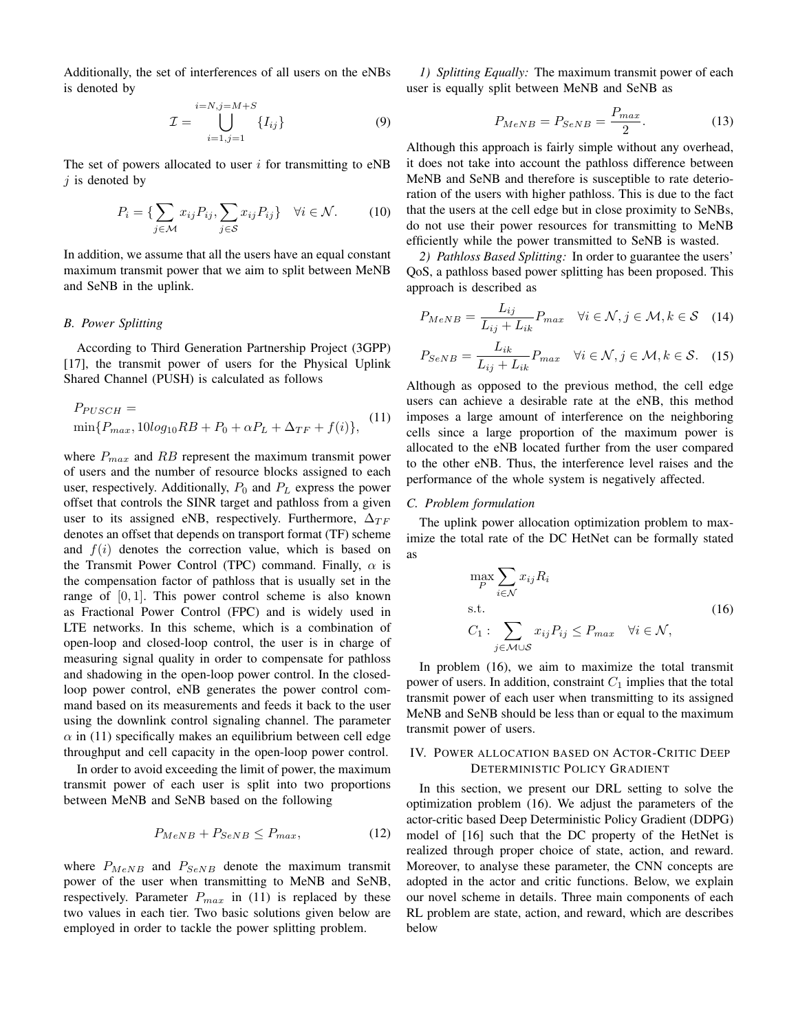Additionally, the set of interferences of all users on the eNBs is denoted by

$$
\mathcal{I} = \bigcup_{i=1,j=1}^{i=N,j=M+S} \{I_{ij}\}\tag{9}
$$

The set of powers allocated to user  $i$  for transmitting to eNB  $i$  is denoted by

$$
P_i = \{ \sum_{j \in \mathcal{M}} x_{ij} P_{ij}, \sum_{j \in \mathcal{S}} x_{ij} P_{ij} \} \quad \forall i \in \mathcal{N}.
$$
 (10)

In addition, we assume that all the users have an equal constant maximum transmit power that we aim to split between MeNB and SeNB in the uplink.

## *B. Power Splitting*

According to Third Generation Partnership Project (3GPP) [17], the transmit power of users for the Physical Uplink Shared Channel (PUSH) is calculated as follows

$$
P_{PUSCH} = \min\{P_{max}, 10\log_{10}RB + P_0 + \alpha P_L + \Delta_{TF} + f(i)\},
$$
 (11)

where  $P_{max}$  and RB represent the maximum transmit power of users and the number of resource blocks assigned to each user, respectively. Additionally,  $P_0$  and  $P_L$  express the power offset that controls the SINR target and pathloss from a given user to its assigned eNB, respectively. Furthermore,  $\Delta_{TF}$ denotes an offset that depends on transport format (TF) scheme and  $f(i)$  denotes the correction value, which is based on the Transmit Power Control (TPC) command. Finally,  $\alpha$  is the compensation factor of pathloss that is usually set in the range of  $[0, 1]$ . This power control scheme is also known as Fractional Power Control (FPC) and is widely used in LTE networks. In this scheme, which is a combination of open-loop and closed-loop control, the user is in charge of measuring signal quality in order to compensate for pathloss and shadowing in the open-loop power control. In the closedloop power control, eNB generates the power control command based on its measurements and feeds it back to the user using the downlink control signaling channel. The parameter  $\alpha$  in (11) specifically makes an equilibrium between cell edge throughput and cell capacity in the open-loop power control.

In order to avoid exceeding the limit of power, the maximum transmit power of each user is split into two proportions between MeNB and SeNB based on the following

$$
P_{MeNB} + P_{SeNB} \le P_{max},\tag{12}
$$

where  $P_{MeNB}$  and  $P_{SeNB}$  denote the maximum transmit power of the user when transmitting to MeNB and SeNB, respectively. Parameter  $P_{max}$  in (11) is replaced by these two values in each tier. Two basic solutions given below are employed in order to tackle the power splitting problem.

*1) Splitting Equally:* The maximum transmit power of each user is equally split between MeNB and SeNB as

$$
P_{MeNB} = P_{SeNB} = \frac{P_{max}}{2}.
$$
 (13)

Although this approach is fairly simple without any overhead, it does not take into account the pathloss difference between MeNB and SeNB and therefore is susceptible to rate deterioration of the users with higher pathloss. This is due to the fact that the users at the cell edge but in close proximity to SeNBs, do not use their power resources for transmitting to MeNB efficiently while the power transmitted to SeNB is wasted.

*2) Pathloss Based Splitting:* In order to guarantee the users' QoS, a pathloss based power splitting has been proposed. This approach is described as

$$
P_{MeNB} = \frac{L_{ij}}{L_{ij} + L_{ik}} P_{max} \quad \forall i \in \mathcal{N}, j \in \mathcal{M}, k \in \mathcal{S} \quad (14)
$$

$$
P_{SeNB} = \frac{L_{ik}}{L_{ij} + L_{ik}} P_{max} \quad \forall i \in \mathcal{N}, j \in \mathcal{M}, k \in \mathcal{S}. \quad (15)
$$

Although as opposed to the previous method, the cell edge users can achieve a desirable rate at the eNB, this method imposes a large amount of interference on the neighboring cells since a large proportion of the maximum power is allocated to the eNB located further from the user compared to the other eNB. Thus, the interference level raises and the performance of the whole system is negatively affected.

## *C. Problem formulation*

The uplink power allocation optimization problem to maximize the total rate of the DC HetNet can be formally stated as

$$
\max_{P} \sum_{i \in \mathcal{N}} x_{ij} R_i
$$
\ns.t.\n
$$
C_1: \sum_{j \in \mathcal{M} \cup \mathcal{S}} x_{ij} P_{ij} \le P_{max} \quad \forall i \in \mathcal{N},
$$
\n(16)

In problem (16), we aim to maximize the total transmit power of users. In addition, constraint  $C_1$  implies that the total transmit power of each user when transmitting to its assigned MeNB and SeNB should be less than or equal to the maximum transmit power of users.

# IV. POWER ALLOCATION BASED ON ACTOR-CRITIC DEEP DETERMINISTIC POLICY GRADIENT

In this section, we present our DRL setting to solve the optimization problem (16). We adjust the parameters of the actor-critic based Deep Deterministic Policy Gradient (DDPG) model of [16] such that the DC property of the HetNet is realized through proper choice of state, action, and reward. Moreover, to analyse these parameter, the CNN concepts are adopted in the actor and critic functions. Below, we explain our novel scheme in details. Three main components of each RL problem are state, action, and reward, which are describes below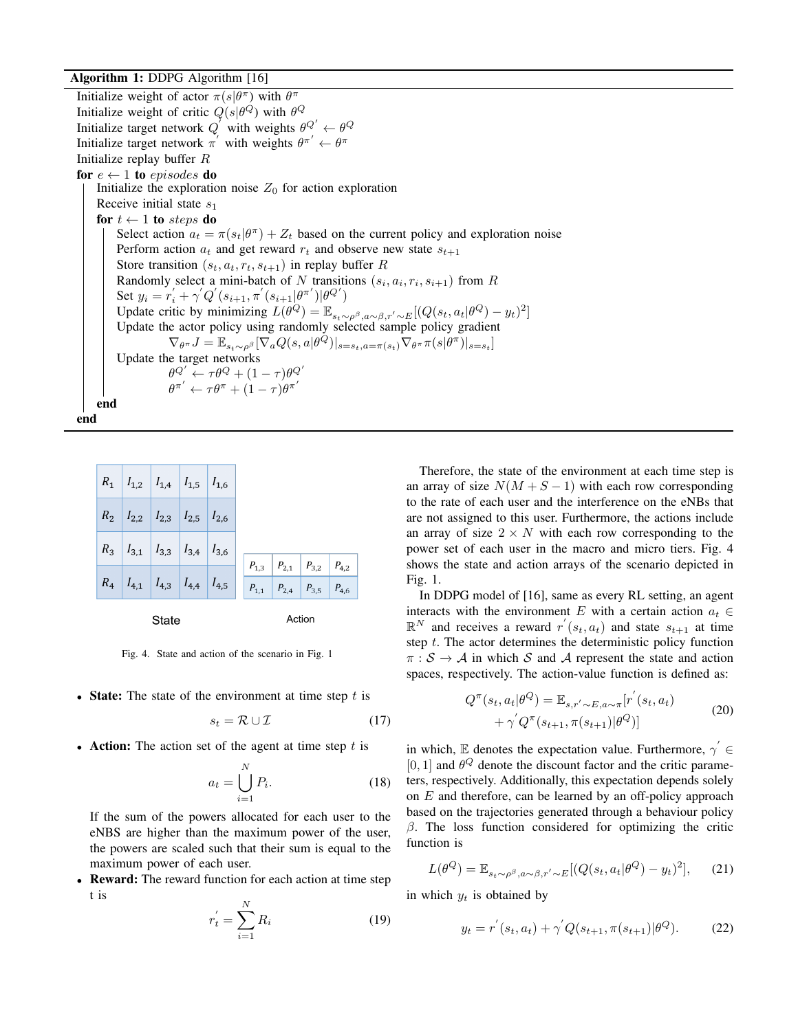# Algorithm 1: DDPG Algorithm [16]

Initialize weight of actor  $\pi(s|\theta^{\pi})$  with  $\theta^{\pi}$ Initialize weight of critic  $Q(s|\theta^{Q})$  with  $\theta^{Q}$ Initialize target network  $Q'$  with weights  $\theta^{Q'} \leftarrow \theta^Q$ Initialize target network  $\pi'$  with weights  $\theta^{\pi'} \leftarrow \theta^{\pi}$ Initialize replay buffer  $R$ for  $e \leftarrow 1$  to episodes do Initialize the exploration noise  $Z_0$  for action exploration Receive initial state  $s_1$ for  $t \leftarrow 1$  to steps do Select action  $a_t = \pi(s_t|\theta^{\pi}) + Z_t$  based on the current policy and exploration noise Perform action  $a_t$  and get reward  $r_t$  and observe new state  $s_{t+1}$ Store transition  $(s_t, a_t, r_t, s_{t+1})$  in replay buffer R Randomly select a mini-batch of N transitions  $(s_i, a_i, r_i, s_{i+1})$  from R Set  $y_i = r'_i + \gamma' Q^{'}(s_{i+1}, \pi^{'}(s_{i+1}|\theta^{\pi'})|\theta^{Q'})$ Update critic by minimizing  $L(\theta^Q) = \mathbb{E}_{s_t \sim \rho^\beta, a \sim \beta, r' \sim E} [(Q(s_t, a_t | \theta^Q) - y_t)^2]$ Update the actor policy using randomly selected sample policy gradient  $\nabla_{\theta^{\pi}}J = \mathbb{E}_{s_t \sim \rho^{\beta}}[\nabla_a Q(s, a | \theta^{\tilde{Q}})|_{s=s_t, a=\pi(s_t)}\nabla_{\theta^{\pi}} \pi(s | \theta^{\pi})|_{s=s_t}]$ Update the target networks  $\theta^{Q'} \leftarrow \tau \theta^Q + (1-\tau) \theta^{Q'}$  $\theta^{\pi'} \leftarrow \tau \theta^{\pi} + (1-\tau) \theta^{\pi'}$ end end

|       | $R_1$ $I_{1,2}$ $I_{1,4}$ $I_{1,5}$ $I_{1,6}$ |  |  |  |  |                                                                                          |  |  |
|-------|-----------------------------------------------|--|--|--|--|------------------------------------------------------------------------------------------|--|--|
|       | $R_2$ $I_{2,2}$ $I_{2,3}$ $I_{2,5}$ $I_{2,6}$ |  |  |  |  |                                                                                          |  |  |
|       | $R_3$ $I_{3,1}$ $I_{3,3}$ $I_{3,4}$ $I_{3,6}$ |  |  |  |  |                                                                                          |  |  |
|       | $R_4$ $I_{4,1}$ $I_{4,3}$ $I_{4,4}$ $I_{4,5}$ |  |  |  |  | $P_{1,3}$   $P_{2,1}$   $P_{3,2}$   $P_{4,2}$<br>$P_{1,1}$ $P_{2,4}$ $P_{3,5}$ $P_{4,6}$ |  |  |
| State |                                               |  |  |  |  | Action                                                                                   |  |  |

State

Fig. 4. State and action of the scenario in Fig. 1

• State: The state of the environment at time step  $t$  is

$$
s_t = \mathcal{R} \cup \mathcal{I} \tag{17}
$$

• Action: The action set of the agent at time step  $t$  is

$$
a_t = \bigcup_{i=1}^{N} P_i.
$$
 (18)

If the sum of the powers allocated for each user to the eNBS are higher than the maximum power of the user, the powers are scaled such that their sum is equal to the maximum power of each user.

**Reward:** The reward function for each action at time step t is

$$
r_t' = \sum_{i=1}^{N} R_i
$$
 (19)

Therefore, the state of the environment at each time step is an array of size  $N(M + S - 1)$  with each row corresponding to the rate of each user and the interference on the eNBs that are not assigned to this user. Furthermore, the actions include an array of size  $2 \times N$  with each row corresponding to the power set of each user in the macro and micro tiers. Fig. 4 shows the state and action arrays of the scenario depicted in Fig. 1.

In DDPG model of [16], same as every RL setting, an agent interacts with the environment E with a certain action  $a_t \in$  $\mathbb{R}^N$  and receives a reward  $r'(s_t, a_t)$  and state  $s_{t+1}$  at time step  $t$ . The actor determines the deterministic policy function  $\pi : \mathcal{S} \to \mathcal{A}$  in which S and A represent the state and action spaces, respectively. The action-value function is defined as:

$$
Q^{\pi}(s_t, a_t | \theta^Q) = \mathbb{E}_{s, r' \sim E, a \sim \pi} [r'(s_t, a_t) + \gamma' Q^{\pi}(s_{t+1}, \pi(s_{t+1}) | \theta^Q)] \tag{20}
$$

in which, E denotes the expectation value. Furthermore,  $\gamma^{'} \in$ [0, 1] and  $\theta^Q$  denote the discount factor and the critic parameters, respectively. Additionally, this expectation depends solely on  $E$  and therefore, can be learned by an off-policy approach based on the trajectories generated through a behaviour policy  $β$ . The loss function considered for optimizing the critic function is

$$
L(\theta^{Q}) = \mathbb{E}_{s_t \sim \rho^{\beta}, a \sim \beta, r' \sim E} [(Q(s_t, a_t | \theta^{Q}) - y_t)^2], \quad (21)
$$

in which  $y_t$  is obtained by

$$
y_t = r'(s_t, a_t) + \gamma' Q(s_{t+1}, \pi(s_{t+1}) | \theta^Q). \tag{22}
$$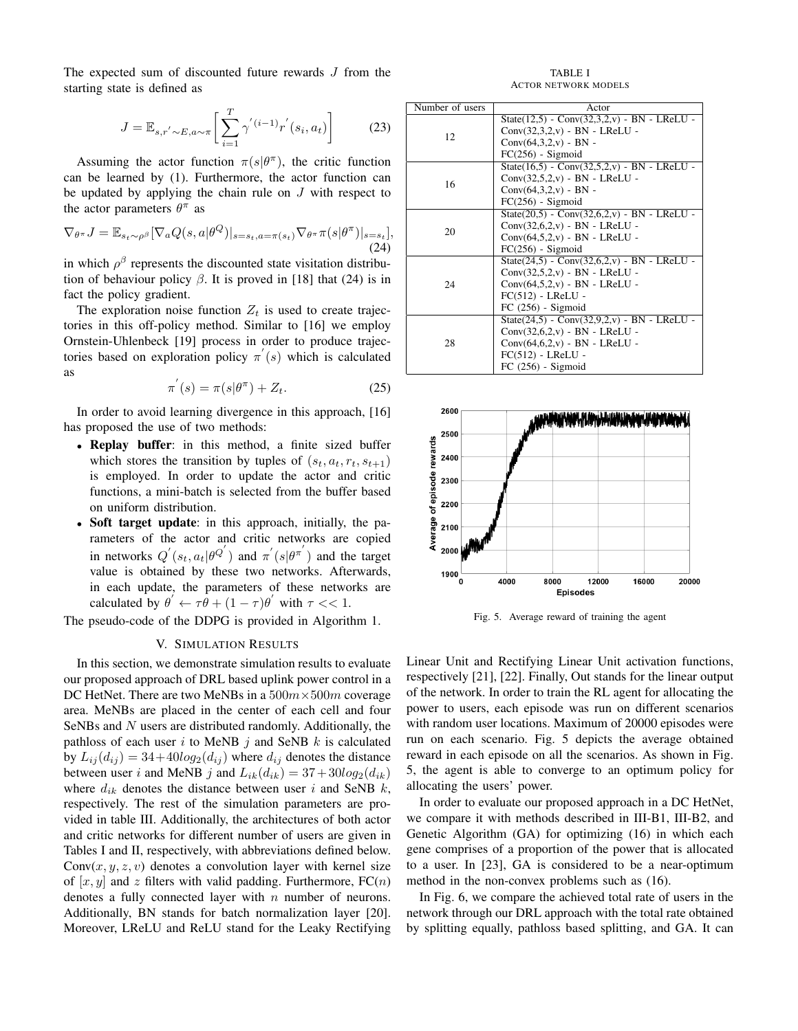The expected sum of discounted future rewards J from the starting state is defined as

$$
J = \mathbb{E}_{s,r' \sim E, a \sim \pi} \left[ \sum_{i=1}^{T} \gamma'(i-1) r'(s_i, a_t) \right]
$$
 (23)

Assuming the actor function  $\pi(s|\theta^{\pi})$ , the critic function can be learned by (1). Furthermore, the actor function can be updated by applying the chain rule on  $J$  with respect to the actor parameters  $\theta^{\pi}$  as

$$
\nabla_{\theta^{\pi}} J = \mathbb{E}_{s_t \sim \rho^{\beta}} [\nabla_a Q(s, a | \theta^Q)|_{s=s_t, a=\pi(s_t)} \nabla_{\theta^{\pi}} \pi(s | \theta^{\pi})|_{s=s_t}],
$$
\n(24)

in which  $\rho^{\beta}$  represents the discounted state visitation distribution of behaviour policy  $\beta$ . It is proved in [18] that (24) is in fact the policy gradient.

The exploration noise function  $Z_t$  is used to create trajectories in this off-policy method. Similar to [16] we employ Ornstein-Uhlenbeck [19] process in order to produce trajectories based on exploration policy  $\pi'(s)$  which is calculated as

$$
\pi^{'}(s) = \pi(s|\theta^{\pi}) + Z_t.
$$
\n(25)

In order to avoid learning divergence in this approach, [16] has proposed the use of two methods:

- Replay buffer: in this method, a finite sized buffer which stores the transition by tuples of  $(s_t, a_t, r_t, s_{t+1})$ is employed. In order to update the actor and critic functions, a mini-batch is selected from the buffer based on uniform distribution.
- Soft target update: in this approach, initially, the parameters of the actor and critic networks are copied in networks  $Q^{'}(s_t, a_t | \theta^{Q^{'}})$  and  $\pi^{'}(s | \theta^{\pi^{'}})$  and the target value is obtained by these two networks. Afterwards, in each update, the parameters of these networks are calculated by  $\theta' \leftarrow \tau \hat{\theta} + (1 - \tau) \theta'$  with  $\tau \ll 1$ .

The pseudo-code of the DDPG is provided in Algorithm 1.

# V. SIMULATION RESULTS

In this section, we demonstrate simulation results to evaluate our proposed approach of DRL based uplink power control in a DC HetNet. There are two MeNBs in a  $500m \times 500m$  coverage area. MeNBs are placed in the center of each cell and four SeNBs and N users are distributed randomly. Additionally, the pathloss of each user i to MeNB  $j$  and SeNB  $k$  is calculated by  $L_{ij}(d_{ij}) = 34+40log_2(d_{ij})$  where  $d_{ij}$  denotes the distance between user i and MeNB j and  $L_{ik}(d_{ik}) = 37 + 30log_2(d_{ik})$ where  $d_{ik}$  denotes the distance between user i and SeNB k, respectively. The rest of the simulation parameters are provided in table III. Additionally, the architectures of both actor and critic networks for different number of users are given in Tables I and II, respectively, with abbreviations defined below.  $Conv(x, y, z, v)$  denotes a convolution layer with kernel size of  $[x, y]$  and z filters with valid padding. Furthermore,  $FC(n)$ denotes a fully connected layer with  $n$  number of neurons. Additionally, BN stands for batch normalization layer [20]. Moreover, LReLU and ReLU stand for the Leaky Rectifying

TABLE I ACTOR NETWORK MODELS

| Number of users | Actor                                             |
|-----------------|---------------------------------------------------|
|                 | State $(12.5)$ - Conv $(32.3.2,v)$ - BN - LReLU - |
| 12              | $Conv(32,3,2,v) - BN - LReLU -$                   |
|                 | $Conv(64,3,2,v) - BN -$                           |
|                 | $FC(256)$ - Sigmoid                               |
|                 | State $(16.5)$ - Conv $(32.5.2,v)$ - BN - LReLU - |
| 16              | $Conv(32.5.2,v) - BN - LReLU -$                   |
|                 | $Conv(64,3,2,v) - BN -$                           |
|                 | $FC(256)$ - Sigmoid                               |
|                 | $State(20,5) - Conv(32,6,2,v) - BN - LReLU -$     |
|                 | $Conv(32,6,2,v) - BN - LReLU -$                   |
| 20              | $Conv(64,5,2,v)$ - BN - LReLU -                   |
|                 | $FC(256)$ - Sigmoid                               |
|                 | $State(24,5) - Conv(32,6,2,v) - BN - LReLU -$     |
|                 | $Conv(32.5.2,v) - BN - LReLU -$                   |
| 24              | $Conv(64,5,2,v)$ - BN - LReLU -                   |
|                 | $FC(512) - LReLU -$                               |
|                 | $FC (256) - Sigmoid$                              |
|                 | $State(24.5) - Conv(32.9.2, v) - BN - LReLU -$    |
|                 | $Conv(32,6,2,v) - BN - LReLU -$                   |
| 28              | $Conv(64, 6, 2, v) - BN - LReLU -$                |
|                 | $FC(512) - LReLU -$                               |
|                 | $FC (256) - Sigmoid$                              |



Fig. 5. Average reward of training the agent

Linear Unit and Rectifying Linear Unit activation functions, respectively [21], [22]. Finally, Out stands for the linear output of the network. In order to train the RL agent for allocating the power to users, each episode was run on different scenarios with random user locations. Maximum of 20000 episodes were run on each scenario. Fig. 5 depicts the average obtained reward in each episode on all the scenarios. As shown in Fig. 5, the agent is able to converge to an optimum policy for allocating the users' power.

In order to evaluate our proposed approach in a DC HetNet, we compare it with methods described in III-B1, III-B2, and Genetic Algorithm (GA) for optimizing (16) in which each gene comprises of a proportion of the power that is allocated to a user. In [23], GA is considered to be a near-optimum method in the non-convex problems such as (16).

In Fig. 6, we compare the achieved total rate of users in the network through our DRL approach with the total rate obtained by splitting equally, pathloss based splitting, and GA. It can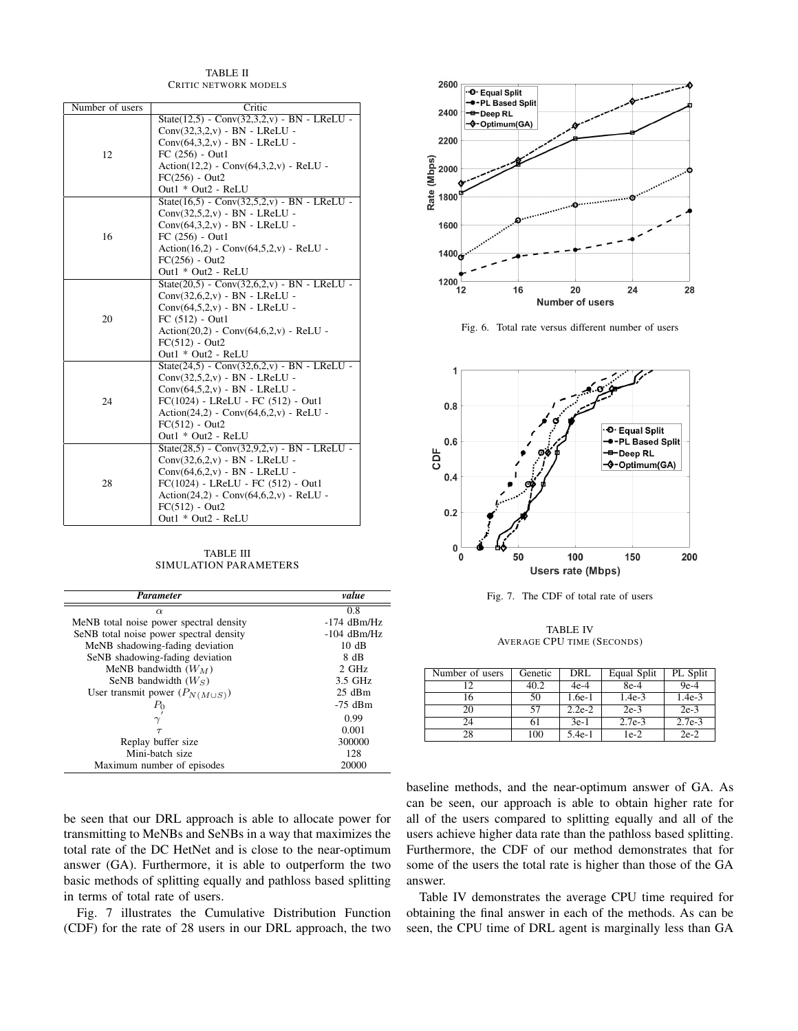| Number of users | Critic                                            |  |  |  |
|-----------------|---------------------------------------------------|--|--|--|
|                 | State $(12,5)$ - Conv $(32,3,2,v)$ - BN - LReLU - |  |  |  |
|                 | $Conv(32,3,2,v) - BN - LReLU -$                   |  |  |  |
|                 | $Conv(64,3,2,v)$ - BN - LReLU -                   |  |  |  |
| 12              | $FC (256) - Out1$                                 |  |  |  |
|                 | $Action(12,2) - Conv(64,3,2,v) - ReLU -$          |  |  |  |
|                 | $FC(256) - Out2$                                  |  |  |  |
|                 | Out1 * Out2 - ReLU                                |  |  |  |
|                 | State $(16.5)$ - Conv $(32.5.2,v)$ - BN - LReLU - |  |  |  |
|                 | $Conv(32.5.2,v) - BN - LReLU -$                   |  |  |  |
|                 | $Conv(64,3,2,v) - BN - LReLU -$                   |  |  |  |
| 16              | $FC (256) - Out1$                                 |  |  |  |
|                 | $Action(16,2) - Conv(64,5,2,v) - ReLU -$          |  |  |  |
|                 | $FC(256) - Out2$                                  |  |  |  |
|                 | Out1 * Out2 - ReLU                                |  |  |  |
|                 | $State(20,5) - Conv(32,6,2,v) - BN - LReLU -$     |  |  |  |
|                 | $Conv(32,6,2,v)$ - BN - LReLU -                   |  |  |  |
|                 | $Conv(64,5,2,v) - BN - LReLU -$                   |  |  |  |
| 20              | $FC (512) - Out1$                                 |  |  |  |
|                 | $Action(20,2) - Conv(64,6,2,v) - ReLU -$          |  |  |  |
|                 | $FC(512) - Out2$                                  |  |  |  |
|                 | Out1 * Out2 - ReLU                                |  |  |  |
|                 | $State(24,5) - Conv(32,6,2,v) - BN - LReLU -$     |  |  |  |
|                 | $Conv(32,5,2,v) - BN - LReLU -$                   |  |  |  |
|                 | $Conv(64,5,2,v)$ - BN - LReLU -                   |  |  |  |
| 24              | $FC(1024) - LReLU - FC(512) - Out1$               |  |  |  |
|                 | $Action(24,2) - Conv(64,6,2,v) - ReLU -$          |  |  |  |
|                 | $FC(512) - Out2$                                  |  |  |  |
|                 | Out1 * Out2 - ReLU                                |  |  |  |
|                 | $State(28,5) - Conv(32,9,2,v) - BN - LReLU -$     |  |  |  |
|                 | $Conv(32,6,2,v) - BN - LReLU -$                   |  |  |  |
|                 | $Conv(64, 6, 2, v) - BN - LReLU -$                |  |  |  |
| 28              | FC(1024) - LReLU - FC (512) - Out1                |  |  |  |
|                 | $Action(24,2) - Conv(64,6,2,v) - ReLU -$          |  |  |  |
|                 | $FC(512) - Out2$                                  |  |  |  |
|                 | Out1 * Out2 - ReLU                                |  |  |  |

TABLE II CRITIC NETWORK MODELS

TABLE III SIMULATION PARAMETERS

| <b>Parameter</b>                        | value         |
|-----------------------------------------|---------------|
| $\alpha$                                | 0.8           |
| MeNB total noise power spectral density | $-174$ dBm/Hz |
| SeNB total noise power spectral density | $-104$ dBm/Hz |
| MeNB shadowing-fading deviation         | 10dB          |
| SeNB shadowing-fading deviation         | 8 dB          |
| MeNB bandwidth $(W_M)$                  | $2$ GHz       |
| SeNB bandwidth $(W_S)$                  | 3.5 GHz       |
| User transmit power $(P_{N(M\cup S)})$  | $25$ dBm      |
| $_{P_0}$                                | $-75$ dBm     |
|                                         | 0.99          |
| $\tau$                                  | 0.001         |
| Replay buffer size                      | 300000        |
| Mini-batch size                         | 128           |
| Maximum number of episodes              | 20000         |

be seen that our DRL approach is able to allocate power for transmitting to MeNBs and SeNBs in a way that maximizes the total rate of the DC HetNet and is close to the near-optimum answer (GA). Furthermore, it is able to outperform the two basic methods of splitting equally and pathloss based splitting in terms of total rate of users.

Fig. 7 illustrates the Cumulative Distribution Function (CDF) for the rate of 28 users in our DRL approach, the two



Fig. 6. Total rate versus different number of users





TABLE IV AVERAGE CPU TIME (SECONDS)

| Number of users | Genetic | DRL      | Equal Split | PL Split |
|-----------------|---------|----------|-------------|----------|
| 12              | 40.2    | $4e-4$   | $8e-4$      | $9e-4$   |
| 6               | 50      | $1.6e-1$ | $1.4e-3$    | $1.4e-3$ |
| 20              | 57      | $2.2e-2$ | $2e-3$      | $2e-3$   |
| 24              | 61      | $3e-1$   | $2.7e-3$    | $2.7e-3$ |
| 28              | 100     | $5.4e-1$ | $1e-2$      | $2e-2$   |

baseline methods, and the near-optimum answer of GA. As can be seen, our approach is able to obtain higher rate for all of the users compared to splitting equally and all of the users achieve higher data rate than the pathloss based splitting. Furthermore, the CDF of our method demonstrates that for some of the users the total rate is higher than those of the GA answer.

Table IV demonstrates the average CPU time required for obtaining the final answer in each of the methods. As can be seen, the CPU time of DRL agent is marginally less than GA